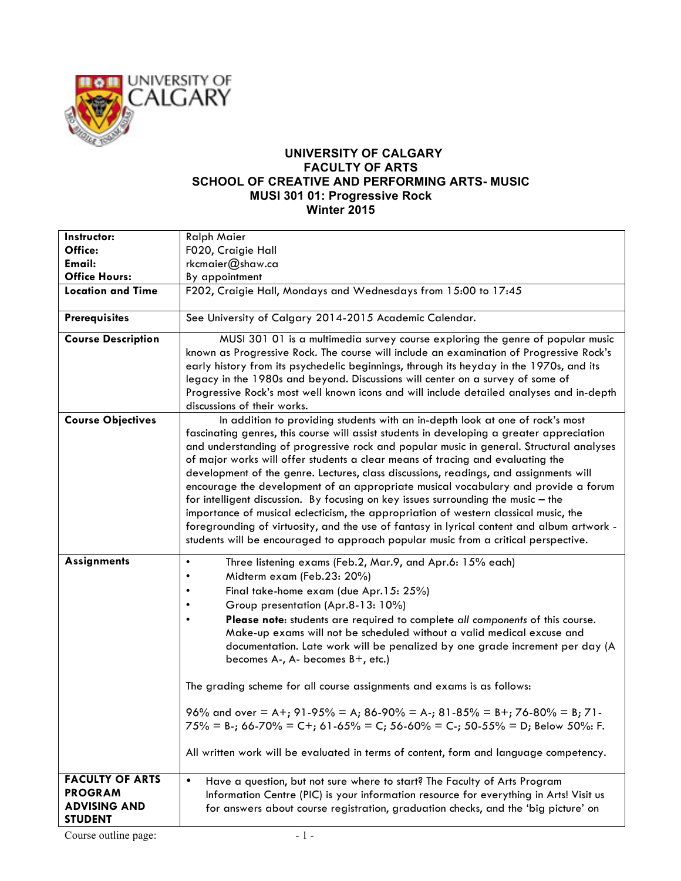

## **UNIVERSITY OF CALGARY FACULTY OF ARTS SCHOOL OF CREATIVE AND PERFORMING ARTS- MUSIC MUSI 301 01: Progressive Rock Winter 2015**

| Instructor:                                                                       | <b>Ralph Maier</b>                                                                                                                                                                                                                                                                                                                                                                                                                                                                                                                                                                                                                                                                                                                                                                                                                                                                                      |
|-----------------------------------------------------------------------------------|---------------------------------------------------------------------------------------------------------------------------------------------------------------------------------------------------------------------------------------------------------------------------------------------------------------------------------------------------------------------------------------------------------------------------------------------------------------------------------------------------------------------------------------------------------------------------------------------------------------------------------------------------------------------------------------------------------------------------------------------------------------------------------------------------------------------------------------------------------------------------------------------------------|
| Office:                                                                           | F020, Craigie Hall                                                                                                                                                                                                                                                                                                                                                                                                                                                                                                                                                                                                                                                                                                                                                                                                                                                                                      |
| Email:                                                                            | rkcmaier@shaw.ca                                                                                                                                                                                                                                                                                                                                                                                                                                                                                                                                                                                                                                                                                                                                                                                                                                                                                        |
| <b>Office Hours:</b>                                                              | By appointment                                                                                                                                                                                                                                                                                                                                                                                                                                                                                                                                                                                                                                                                                                                                                                                                                                                                                          |
| <b>Location and Time</b>                                                          | F202, Craigie Hall, Mondays and Wednesdays from 15:00 to 17:45                                                                                                                                                                                                                                                                                                                                                                                                                                                                                                                                                                                                                                                                                                                                                                                                                                          |
| <b>Prerequisites</b>                                                              | See University of Calgary 2014-2015 Academic Calendar.                                                                                                                                                                                                                                                                                                                                                                                                                                                                                                                                                                                                                                                                                                                                                                                                                                                  |
| <b>Course Description</b>                                                         | MUSI 301 01 is a multimedia survey course exploring the genre of popular music<br>known as Progressive Rock. The course will include an examination of Progressive Rock's<br>early history from its psychedelic beginnings, through its heyday in the 1970s, and its<br>legacy in the 1980s and beyond. Discussions will center on a survey of some of<br>Progressive Rock's most well known icons and will include detailed analyses and in-depth<br>discussions of their works.                                                                                                                                                                                                                                                                                                                                                                                                                       |
| <b>Course Objectives</b>                                                          | In addition to providing students with an in-depth look at one of rock's most<br>fascinating genres, this course will assist students in developing a greater appreciation<br>and understanding of progressive rock and popular music in general. Structural analyses<br>of major works will offer students a clear means of tracing and evaluating the<br>development of the genre. Lectures, class discussions, readings, and assignments will<br>encourage the development of an appropriate musical vocabulary and provide a forum<br>for intelligent discussion. By focusing on key issues surrounding the music - the<br>importance of musical eclecticism, the appropriation of western classical music, the<br>foregrounding of virtuosity, and the use of fantasy in lyrical content and album artwork -<br>students will be encouraged to approach popular music from a critical perspective. |
| <b>Assignments</b>                                                                | Three listening exams (Feb.2, Mar.9, and Apr.6: 15% each)<br>$\bullet$<br>Midterm exam (Feb.23: 20%)<br>$\bullet$<br>Final take-home exam (due Apr.15: 25%)<br>Group presentation (Apr.8-13: 10%)<br>Please note: students are required to complete all components of this course.<br>Make-up exams will not be scheduled without a valid medical excuse and<br>documentation. Late work will be penalized by one grade increment per day (A<br>becomes A-, A- becomes B+, etc.)<br>The grading scheme for all course assignments and exams is as follows:<br>96% and over = A+; 91-95% = A; 86-90% = A-; 81-85% = B+; 76-80% = B; 71-<br>$75\%$ = B-; 66-70% = C+; 61-65% = C; 56-60% = C-; 50-55% = D; Below 50%: F.<br>All written work will be evaluated in terms of content, form and language competency.                                                                                         |
| <b>FACULTY OF ARTS</b><br><b>PROGRAM</b><br><b>ADVISING AND</b><br><b>STUDENT</b> | Have a question, but not sure where to start? The Faculty of Arts Program<br>Information Centre (PIC) is your information resource for everything in Arts! Visit us<br>for answers about course registration, graduation checks, and the 'big picture' on                                                                                                                                                                                                                                                                                                                                                                                                                                                                                                                                                                                                                                               |